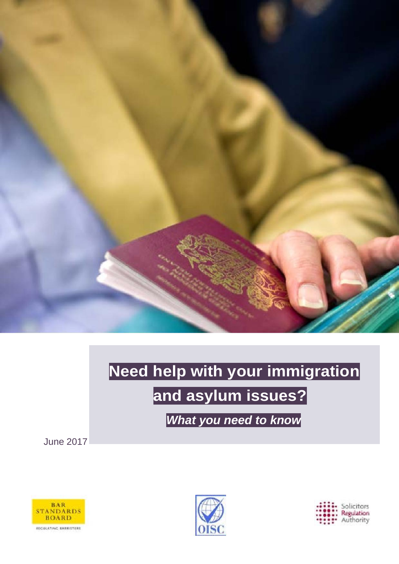

# **Need help with your immigration and asylum issues?**

*What you need to know*

June 2017





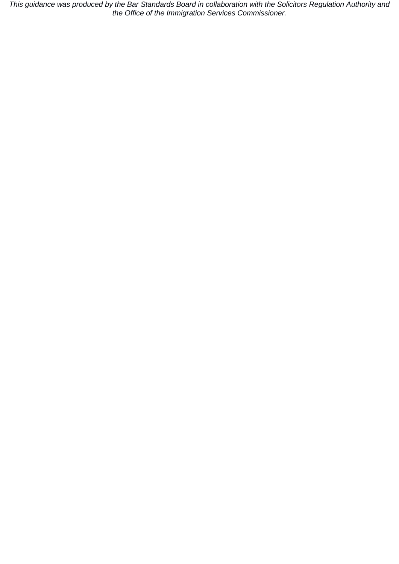*This guidance was produced by the Bar Standards Board in collaboration with the Solicitors Regulation Authority and the Office of the Immigration Services Commissioner.*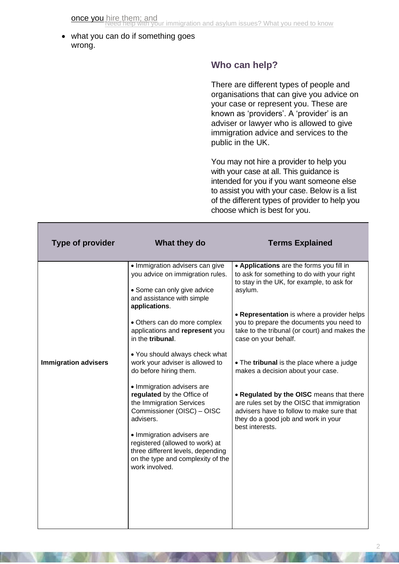what you can do if something goes wrong.

## **Who can help?**

There are different types of people and organisations that can give you advice on your case or represent you. These are known as 'providers'. A 'provider' is an adviser or lawyer who is allowed to give immigration advice and services to the public in the UK.

You may not hire a provider to help you with your case at all. This guidance is intended for you if you want someone else to assist you with your case. Below is a list of the different types of provider to help you choose which is best for you.

| <b>Type of provider</b>     | What they do                                                                                                                                                                                                        | <b>Terms Explained</b>                                                                                                                                                                                                                                                                     |
|-----------------------------|---------------------------------------------------------------------------------------------------------------------------------------------------------------------------------------------------------------------|--------------------------------------------------------------------------------------------------------------------------------------------------------------------------------------------------------------------------------------------------------------------------------------------|
|                             | • Immigration advisers can give<br>you advice on immigration rules.<br>• Some can only give advice<br>and assistance with simple<br>applications.<br>• Others can do more complex<br>applications and represent you | • Applications are the forms you fill in<br>to ask for something to do with your right<br>to stay in the UK, for example, to ask for<br>asylum.<br>• Representation is where a provider helps<br>you to prepare the documents you need to<br>take to the tribunal (or court) and makes the |
| <b>Immigration advisers</b> | in the tribunal.<br>• You should always check what<br>work your adviser is allowed to<br>do before hiring them.                                                                                                     | case on your behalf.<br>• The tribunal is the place where a judge<br>makes a decision about your case.                                                                                                                                                                                     |
|                             | • Immigration advisers are<br>regulated by the Office of<br>the Immigration Services<br>Commissioner (OISC) - OISC<br>advisers.                                                                                     | • Regulated by the OISC means that there<br>are rules set by the OISC that immigration<br>advisers have to follow to make sure that<br>they do a good job and work in your<br>best interests.                                                                                              |
|                             | · Immigration advisers are<br>registered (allowed to work) at<br>three different levels, depending<br>on the type and complexity of the<br>work involved.                                                           |                                                                                                                                                                                                                                                                                            |
|                             |                                                                                                                                                                                                                     |                                                                                                                                                                                                                                                                                            |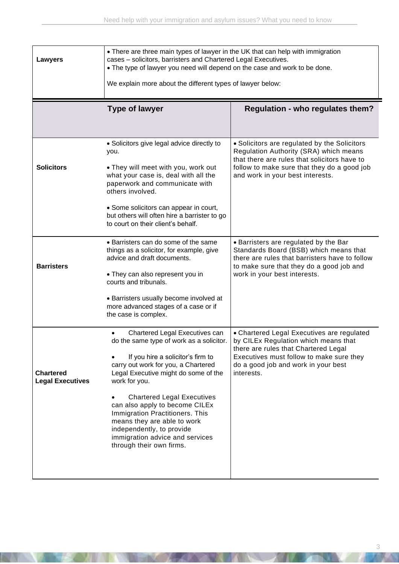| <b>Lawyers</b>                              | • There are three main types of lawyer in the UK that can help with immigration<br>cases - solicitors, barristers and Chartered Legal Executives.<br>. The type of lawyer you need will depend on the case and work to be done.<br>We explain more about the different types of lawyer below:                                                                                                                                                        |                                                                                                                                                                                                                             |  |
|---------------------------------------------|------------------------------------------------------------------------------------------------------------------------------------------------------------------------------------------------------------------------------------------------------------------------------------------------------------------------------------------------------------------------------------------------------------------------------------------------------|-----------------------------------------------------------------------------------------------------------------------------------------------------------------------------------------------------------------------------|--|
|                                             | <b>Type of lawyer</b>                                                                                                                                                                                                                                                                                                                                                                                                                                | <b>Regulation - who regulates them?</b>                                                                                                                                                                                     |  |
| <b>Solicitors</b>                           | • Solicitors give legal advice directly to<br>you.<br>. They will meet with you, work out<br>what your case is, deal with all the<br>paperwork and communicate with<br>others involved.<br>• Some solicitors can appear in court,<br>but others will often hire a barrister to go<br>to court on their client's behalf.                                                                                                                              | • Solicitors are regulated by the Solicitors<br>Regulation Authority (SRA) which means<br>that there are rules that solicitors have to<br>follow to make sure that they do a good job<br>and work in your best interests.   |  |
| <b>Barristers</b>                           | • Barristers can do some of the same<br>things as a solicitor, for example, give<br>advice and draft documents.<br>. They can also represent you in<br>courts and tribunals.<br>• Barristers usually become involved at<br>more advanced stages of a case or if<br>the case is complex.                                                                                                                                                              | • Barristers are regulated by the Bar<br>Standards Board (BSB) which means that<br>there are rules that barristers have to follow<br>to make sure that they do a good job and<br>work in your best interests.               |  |
| <b>Chartered</b><br><b>Legal Executives</b> | Chartered Legal Executives can<br>do the same type of work as a solicitor.<br>If you hire a solicitor's firm to<br>carry out work for you, a Chartered<br>Legal Executive might do some of the<br>work for you.<br><b>Chartered Legal Executives</b><br>can also apply to become CILEx<br>Immigration Practitioners. This<br>means they are able to work<br>independently, to provide<br>immigration advice and services<br>through their own firms. | • Chartered Legal Executives are regulated<br>by CILEx Regulation which means that<br>there are rules that Chartered Legal<br>Executives must follow to make sure they<br>do a good job and work in your best<br>interests. |  |

**KANSAN** 

**DOCKY ARE**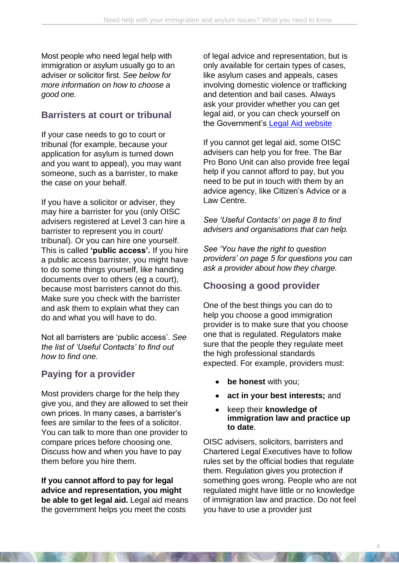Most people who need legal help with immigration or asylum usually go to an adviser or solicitor first. *See below for more information on how to choose a good one.*

#### **Barristers at court or tribunal**

If your case needs to go to court or tribunal (for example, because your application for asylum is turned down and you want to appeal), you may want someone, such as a barrister, to make the case on your behalf.

If you have a solicitor or adviser, they may hire a barrister for you (only OISC advisers registered at Level 3 can hire a barrister to represent you in court/ tribunal). Or you can hire one yourself. This is called **'public access'.** If you hire a public access barrister, you might have to do some things yourself, like handing documents over to others (eg a court), because most barristers cannot do this. Make sure you check with the barrister and ask them to explain what they can do and what you will have to do.

Not all barristers are 'public access'. *See the list of 'Useful Contacts' to find out how to find one.*

#### **Paying for a provider**

Most providers charge for the help they give you, and they are allowed to set their own prices. In many cases, a barrister's fees are similar to the fees of a solicitor. You can talk to more than one provider to compare prices before choosing one. Discuss how and when you have to pay them before you hire them.

**If you cannot afford to pay for legal advice and representation, you might be able to get legal aid.** Legal aid means the government helps you meet the costs

of legal advice and representation, but is only available for certain types of cases, like asylum cases and appeals, cases involving domestic violence or trafficking and detention and bail cases. Always ask your provider whether you can get legal aid, or you can check yourself on the Government's [Legal Aid website.](https://www.gov.uk/check-legal-aid)

If you cannot get legal aid, some OISC advisers can help you for free. The Bar Pro Bono Unit can also provide free legal help if you cannot afford to pay, but you need to be put in touch with them by an advice agency, like Citizen's Advice or a Law Centre.

*See 'Useful Contacts' on page 8 to find advisers and organisations that can help.*

*See 'You have the right to question providers' on page 5 for questions you can ask a provider about how they charge.*

## **Choosing a good provider**

One of the best things you can do to help you choose a good immigration provider is to make sure that you choose one that is regulated. Regulators make sure that the people they regulate meet the high professional standards expected. For example, providers must:

- **be honest** with you;
- **act in your best interests;** and
- keep their **knowledge of immigration law and practice up to date**.

OISC advisers, solicitors, barristers and Chartered Legal Executives have to follow rules set by the official bodies that regulate them. Regulation gives you protection if something goes wrong. People who are not regulated might have little or no knowledge of immigration law and practice. Do not feel you have to use a provider just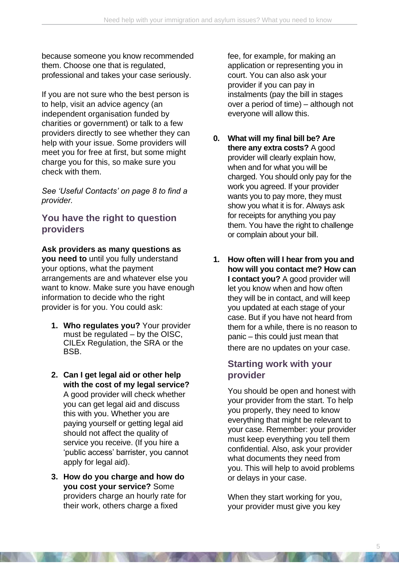because someone you know recommended them. Choose one that is regulated, professional and takes your case seriously.

If you are not sure who the best person is to help, visit an advice agency (an independent organisation funded by charities or government) or talk to a few providers directly to see whether they can help with your issue. Some providers will meet you for free at first, but some might charge you for this, so make sure you check with them.

*See 'Useful Contacts' on page 8 to find a provider.*

#### **You have the right to question providers**

**Ask providers as many questions as you need to** until you fully understand your options, what the payment arrangements are and whatever else you want to know. Make sure you have enough information to decide who the right provider is for you. You could ask:

- **1. Who regulates you?** Your provider must be regulated – by the OISC, CILEx Regulation, the SRA or the BSB.
- **2. Can I get legal aid or other help with the cost of my legal service?**  A good provider will check whether you can get legal aid and discuss this with you. Whether you are paying yourself or getting legal aid should not affect the quality of service you receive. (If you hire a 'public access' barrister, you cannot apply for legal aid).
- **3. How do you charge and how do you cost your service?** Some providers charge an hourly rate for their work, others charge a fixed

fee, for example, for making an application or representing you in court. You can also ask your provider if you can pay in instalments (pay the bill in stages over a period of time) – although not everyone will allow this.

- **0. What will my final bill be? Are there any extra costs?** A good provider will clearly explain how, when and for what you will be charged. You should only pay for the work you agreed. If your provider wants you to pay more, they must show you what it is for. Always ask for receipts for anything you pay them. You have the right to challenge or complain about your bill.
- **1. How often will I hear from you and how will you contact me? How can I contact you?** A good provider will let you know when and how often they will be in contact, and will keep you updated at each stage of your case. But if you have not heard from them for a while, there is no reason to panic – this could just mean that there are no updates on your case.

#### **Starting work with your provider**

You should be open and honest with your provider from the start. To help you properly, they need to know everything that might be relevant to your case. Remember: your provider must keep everything you tell them confidential. Also, ask your provider what documents they need from you. This will help to avoid problems or delays in your case.

When they start working for you, your provider must give you key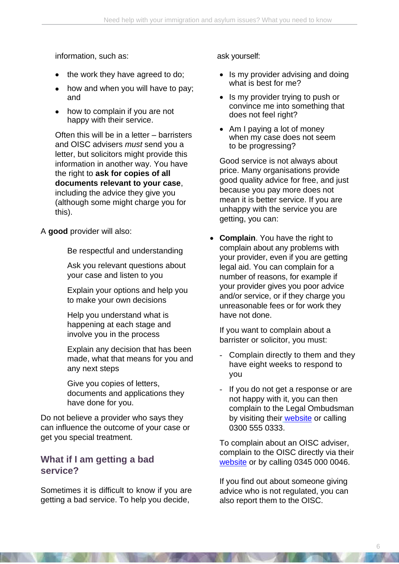information, such as:

- the work they have agreed to do;
- how and when you will have to pay; and
- how to complain if you are not happy with their service.

Often this will be in a letter – barristers and OISC advisers *must* send you a letter, but solicitors might provide this information in another way. You have the right to **ask for copies of all documents relevant to your case**, including the advice they give you (although some might charge you for this).

A **good** provider will also:

Be respectful and understanding

Ask you relevant questions about your case and listen to you

Explain your options and help you to make your own decisions

Help you understand what is happening at each stage and involve you in the process

Explain any decision that has been made, what that means for you and any next steps

Give you copies of letters, documents and applications they have done for you.

Do not believe a provider who says they can influence the outcome of your case or get you special treatment.

#### **What if I am getting a bad service?**

Sometimes it is difficult to know if you are getting a bad service. To help you decide,

ask yourself:

- Is my provider advising and doing what is best for me?
- Is my provider trying to push or convince me into something that does not feel right?
- Am I paying a lot of money when my case does not seem to be progressing?

Good service is not always about price. Many organisations provide good quality advice for free, and just because you pay more does not mean it is better service. If you are unhappy with the service you are getting, you can:

**Complain**. You have the right to complain about any problems with your provider, even if you are getting legal aid. You can complain for a number of reasons, for example if your provider gives you poor advice and/or service, or if they charge you unreasonable fees or for work they have not done.

If you want to complain about a barrister or solicitor, you must:

- Complain directly to them and they have eight weeks to respond to you
- If you do not get a response or are not happy with it, you can then complain to the Legal Ombudsman by visiting their [website](http://www.legalombudsman.org.uk/) or calling 0300 555 0333.

To complain about an OISC adviser, complain to the OISC directly via their [website](https://www.gov.uk/find-an-immigration-adviser/complain-about-an-adviser) or by calling 0345 000 0046.

If you find out about someone giving advice who is not regulated, you can also report them to the OISC.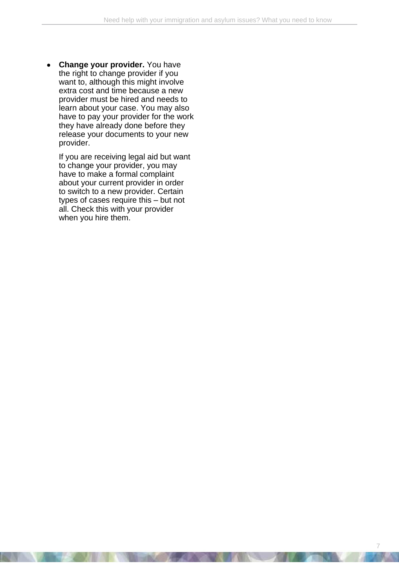**Change your provider.** You have the right to change provider if you want to, although this might involve extra cost and time because a new provider must be hired and needs to learn about your case. You may also have to pay your provider for the work they have already done before they release your documents to your new provider.

If you are receiving legal aid but want to change your provider, you may have to make a formal complaint about your current provider in order to switch to a new provider. Certain types of cases require this – but not all. Check this with your provider when you hire them.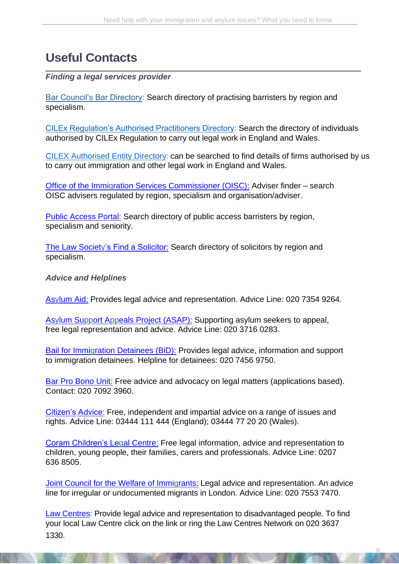# **Useful Contacts**

#### *Finding a legal services provider*

Bar Council's Bar Directory: Search directory of practising barristers by region and specialism.

[CILEx Regulation's Authorised Practitioners Directory:](https://crlportal.cilexgroup.org.uk/CRL-Directory) Search the directory of individuals authorised by CILEx Regulation to carry out legal work in England and Wales.

[CILEX Authorised Entity Directory:](https://cilexregulation.org.uk/wp-content/uploads/2020/03/CILEx-Authorised-Entity-Directory-6-july-2020.pdf) can be searched to find details of firms authorised by us to carry out immigration and other legal work in England and Wales.

[Office of the Immigration Services Commissioner \(OISC\):](http://home.oisc.gov.uk/adviser_finder/finder.aspx) Adviser finder – search OISC advisers regulated by region, specialism and organisation/adviser.

[Public Access Portal:](http://www.directaccessportal.co.uk/) Search directory of public access barristers by region, specialism and seniority.

[The Law Society's Find a Solicitor:](http://solicitors.lawsociety.org.uk/) Search directory of solicitors by region and specialism.

#### *Advice and Helplines*

[Asylum Aid:](http://www.asylumaid.org.uk/) Provides legal advice and representation. Advice Line: 020 7354 9264.

[Asylum Support Appeals Project \(ASAP\):](http://www.asaproject.org/) Supporting asylum seekers to appeal, free legal representation and advice. Advice Line: 020 3716 0283.

[Bail for Immigration Detainees \(BiD\):](http://www.biduk.org/) Provides legal advice, information and support to immigration detainees. Helpline for detainees: 020 7456 9750.

[Bar Pro Bono Unit:](https://barprobono.org.uk/) Free advice and advocacy on legal matters (applications based). Contact: 020 7092 3960.

[Citizen's Advice:](https://www.citizensadvice.org.uk/) Free, independent and impartial advice on a range of issues and rights. Advice Line: 03444 111 444 (England); 03444 77 20 20 (Wales).

[Coram Children's Legal Centre:](http://www.childrenslegalcentre.com/index.php?page=home) Free legal information, advice and representation to children, young people, their families, carers and professionals. Advice Line: 0207 636 8505.

[Joint Council for the Welfare of Immigrants:](https://www.jcwi.org.uk/) Legal advice and representation. An advice line for irregular or undocumented migrants in London. Advice Line: 020 7553 7470.

[Law Centres:](http://www.lawcentres.org.uk/i-am-looking-for-advice) Provide legal advice and representation to disadvantaged people. To find your local Law Centre click on the link or ring the Law Centres Network on 020 3637 1330.

8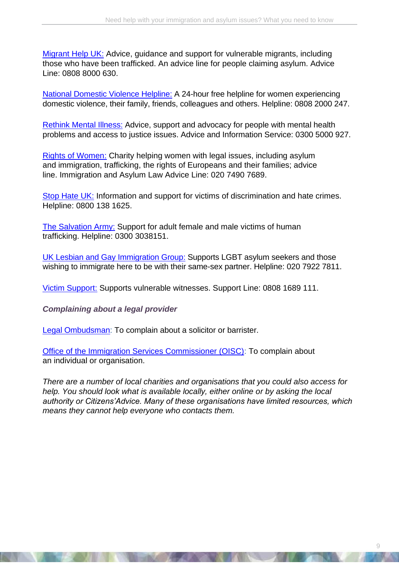[Migrant Help UK:](http://www.migranthelpuk.org/) Advice, guidance and support for vulnerable migrants, including those who have been trafficked. An advice line for people claiming asylum. Advice Line: 0808 8000 630.

[National Domestic Violence Helpline:](http://www.nationaldomesticviolencehelpline.org.uk/) A 24-hour free helpline for women experiencing domestic violence, their family, friends, colleagues and others. Helpline: 0808 2000 247.

[Rethink Mental Illness:](https://www.rethink.org/) Advice, support and advocacy for people with mental health problems and access to justice issues. Advice and Information Service: 0300 5000 927.

[Rights of Women:](http://rightsofwomen.org.uk/) Charity helping women with legal issues, including asylum and immigration, trafficking, the rights of Europeans and their families; advice line. Immigration and Asylum Law Advice Line: 020 7490 7689.

[Stop Hate UK:](http://www.stophateuk.org/) Information and support for victims of discrimination and hate crimes. Helpline: 0800 138 1625.

[The Salvation Army:](https://www.salvationarmy.org.uk/human-trafficking) Support for adult female and male victims of human trafficking. Helpline: 0300 3038151.

[UK Lesbian and Gay Immigration Group:](http://uklgig.org.uk/) Supports LGBT asylum seekers and those wishing to immigrate here to be with their same-sex partner. Helpline: 020 7922 7811.

[Victim Support:](https://www.victimsupport.org.uk/) Supports vulnerable witnesses. Support Line: 0808 1689 111.

*Complaining about a legal provider*

[Legal Ombudsman:](http://www.legalombudsman.org.uk/) To complain about a solicitor or barrister.

[Office of the Immigration Services Commissioner \(OISC\):](http://home.oisc.gov.uk/adviser_finder/finder.aspx) To complain about an individual or organisation.

*There are a number of local charities and organisations that you could also access for help. You should look what is available locally, either online or by asking the local authority or Citizens'Advice. Many of these organisations have limited resources, which means they cannot help everyone who contacts them.*